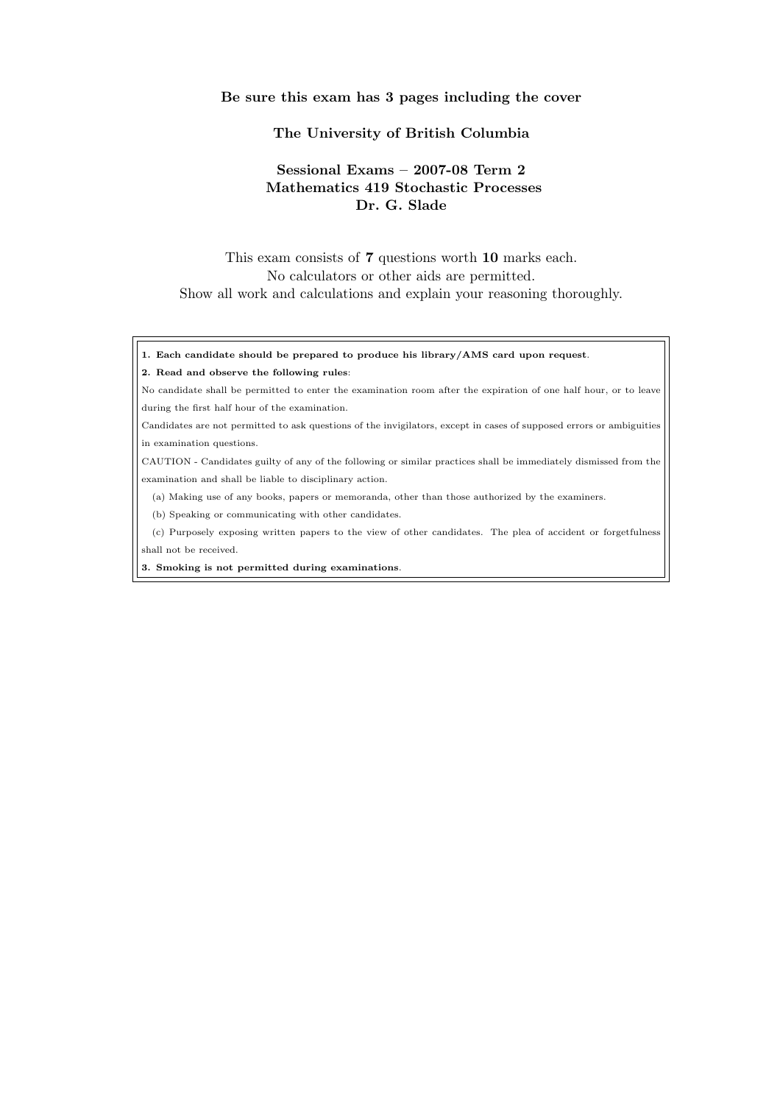## Be sure this exam has 3 pages including the cover

## The University of British Columbia

## Sessional Exams – 2007-08 Term 2 Mathematics 419 Stochastic Processes Dr. G. Slade

This exam consists of 7 questions worth 10 marks each. No calculators or other aids are permitted. Show all work and calculations and explain your reasoning thoroughly.

1. Each candidate should be prepared to produce his library/AMS card upon request.

## 2. Read and observe the following rules:

No candidate shall be permitted to enter the examination room after the expiration of one half hour, or to leave during the first half hour of the examination.

Candidates are not permitted to ask questions of the invigilators, except in cases of supposed errors or ambiguities in examination questions.

CAUTION - Candidates guilty of any of the following or similar practices shall be immediately dismissed from the examination and shall be liable to disciplinary action.

(a) Making use of any books, papers or memoranda, other than those authorized by the examiners.

(b) Speaking or communicating with other candidates.

(c) Purposely exposing written papers to the view of other candidates. The plea of accident or forgetfulness shall not be received.

3. Smoking is not permitted during examinations.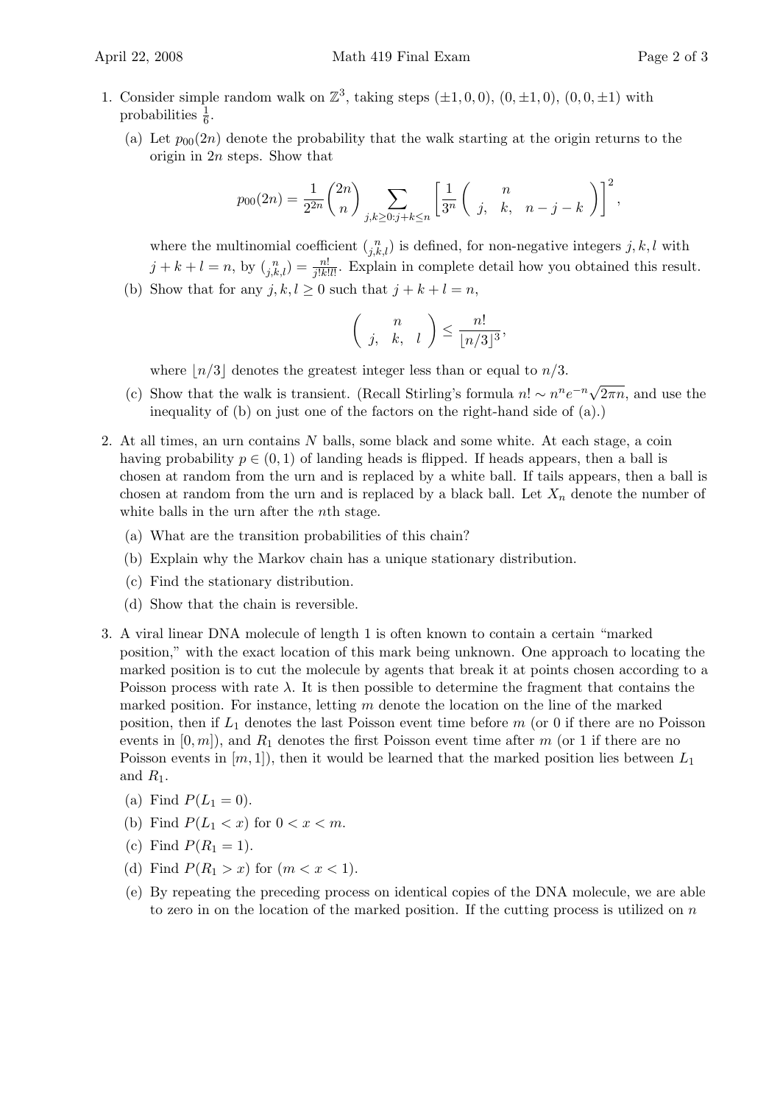- 1. Consider simple random walk on  $\mathbb{Z}^3$ , taking steps  $(\pm 1, 0, 0)$ ,  $(0, \pm 1, 0)$ ,  $(0, 0, \pm 1)$  with probabilities  $\frac{1}{6}$ .
	- (a) Let  $p_{00}(2n)$  denote the probability that the walk starting at the origin returns to the origin in 2n steps. Show that

$$
p_{00}(2n) = \frac{1}{2^{2n}} \binom{2n}{n} \sum_{j,k \ge 0: j+k \le n} \left[ \frac{1}{3^n} \binom{n}{j, k, n-j-k} \right]^2,
$$

where the multinomial coefficient  $\binom{n}{j,k,l}$  is defined, for non-negative integers  $j, k, l$  with  $j + k + l = n$ , by  $\binom{n}{j,k,l} = \frac{n!}{j!k!l!}$ . Explain in complete detail how you obtained this result.

(b) Show that for any  $j, k, l \geq 0$  such that  $j + k + l = n$ ,

$$
\binom{n}{j, k, l} \leq \frac{n!}{\lfloor n/3 \rfloor^3},
$$

where  $|n/3|$  denotes the greatest integer less than or equal to  $n/3$ .

- (c) Show that the walk is transient. (Recall Stirling's formula  $n! \sim n^n e^{-n} \sqrt{\frac{n!}{n!}}$  $\overline{2\pi n}$ , and use the inequality of (b) on just one of the factors on the right-hand side of (a).)
- 2. At all times, an urn contains N balls, some black and some white. At each stage, a coin having probability  $p \in (0, 1)$  of landing heads is flipped. If heads appears, then a ball is chosen at random from the urn and is replaced by a white ball. If tails appears, then a ball is chosen at random from the urn and is replaced by a black ball. Let  $X_n$  denote the number of white balls in the urn after the *n*th stage.
	- (a) What are the transition probabilities of this chain?
	- (b) Explain why the Markov chain has a unique stationary distribution.
	- (c) Find the stationary distribution.
	- (d) Show that the chain is reversible.
- 3. A viral linear DNA molecule of length 1 is often known to contain a certain "marked position," with the exact location of this mark being unknown. One approach to locating the marked position is to cut the molecule by agents that break it at points chosen according to a Poisson process with rate  $\lambda$ . It is then possible to determine the fragment that contains the marked position. For instance, letting  $m$  denote the location on the line of the marked position, then if  $L_1$  denotes the last Poisson event time before m (or 0 if there are no Poisson events in  $[0, m]$ , and  $R_1$  denotes the first Poisson event time after m (or 1 if there are no Poisson events in  $[m, 1]$ , then it would be learned that the marked position lies between  $L_1$ and  $R_1$ .
	- (a) Find  $P(L_1 = 0)$ .
	- (b) Find  $P(L_1 < x)$  for  $0 < x < m$ .
	- (c) Find  $P(R_1 = 1)$ .
	- (d) Find  $P(R_1 > x)$  for  $(m < x < 1)$ .
	- (e) By repeating the preceding process on identical copies of the DNA molecule, we are able to zero in on the location of the marked position. If the cutting process is utilized on  $n$